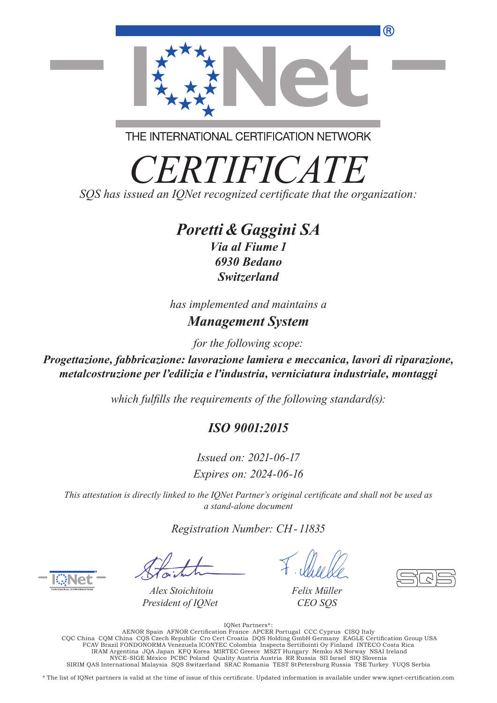

THE INTERNATIONAL CERTIFICATION NETWORK

*CERTIFICATE*

*SQS has issued an IQNet recognized certificate that the organization:* 

## *Poretti &Gaggini SA*

*Via al Fiume 1 6930 Bedano Switzerland*

*has implemented and maintains a*

## *Management System*

*for the following scope:*

*Progettazione, fabbricazione: lavorazione lamiera e meccanica, lavori di riparazione, metalcostruzione per l'edilizia e l'industria, verniciatura industriale, montaggi*

*which fulfills the requirements of the following standard(s):* 

## *ISO 9001:2015*

*Issued on: 2021-06-17 Expires on: 2024-06-16*

*This attestation is directly linked to the IQNet Partner's original certificate and shall not be used as a stand-alone document*

*Registration Number: CH - 11835*

*Alex Stoichitoiu President of IQNet*

*Felix Müller CEO SQS*

://Wet Partners<br>AENOR Spain AFNOR Certification France APCER Portugal CCC Cyprus CISQ Italy<br>CQC China CQM China CQS Czech Republic Cro Cert Croatia DQS Holding GmbH Germany EAGLE Certification Group USA<br>FCAV Brazil FONDONO IRAM Argentina JQA Japan KFQ Korea MIRTEC Greece MSZT Hungary Nemko AS Norway NSAI Ireland NYCE-SIGE México PCBC Poland Quality Austria Austria RR Russia SII Israel SIQ Slovenia SIRIM QAS International Malaysia SQS Switzerland SRAC Romania TEST St Petersburg Russia TSE Turkey YUQS Serbia

\* The list of IQNet partners is valid at the time of issue of this certificate. Updated information is available under www.iqnet-certification.com